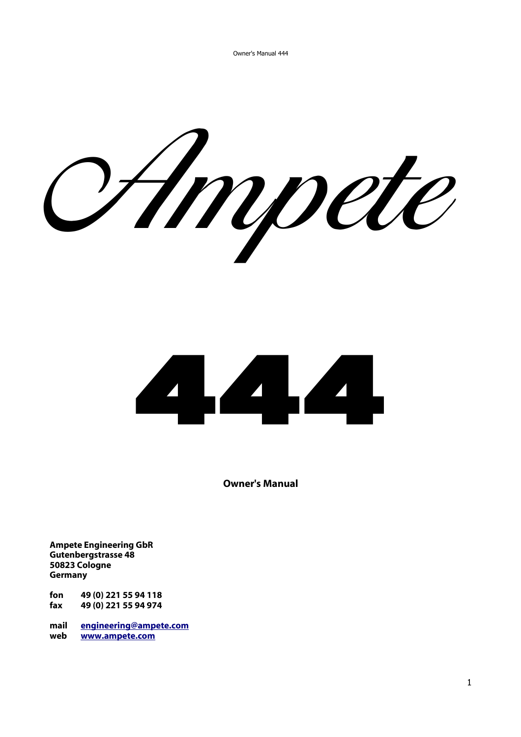Ampete



**Owner's Manual**

**Ampete Engineering GbR Gutenbergstrasse 48 50823 Cologne Germany**

**fon 49 (0) 221 55 94 118 fax 49 (0) 221 55 94 974** 

**mail [engineering@ampete.com](mailto:engineering@ampete.com) web [www.ampete.com](http://www.ampete.com/)**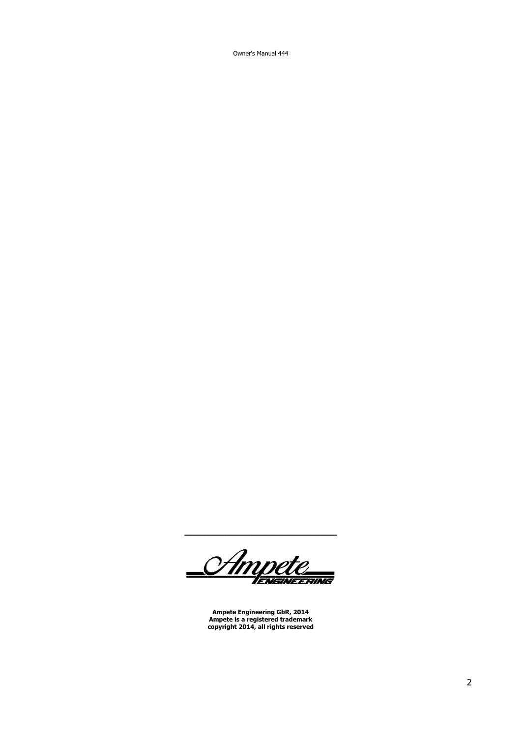Owner's Manual 444

<u>Ampete</u> ENGINEERING

**\_\_\_\_\_\_\_\_\_\_\_\_\_\_\_\_\_\_\_\_\_\_\_\_\_\_**

**Ampete Engineering GbR, 2014 Ampete is a registered trademark copyright 2014, all rights reserved**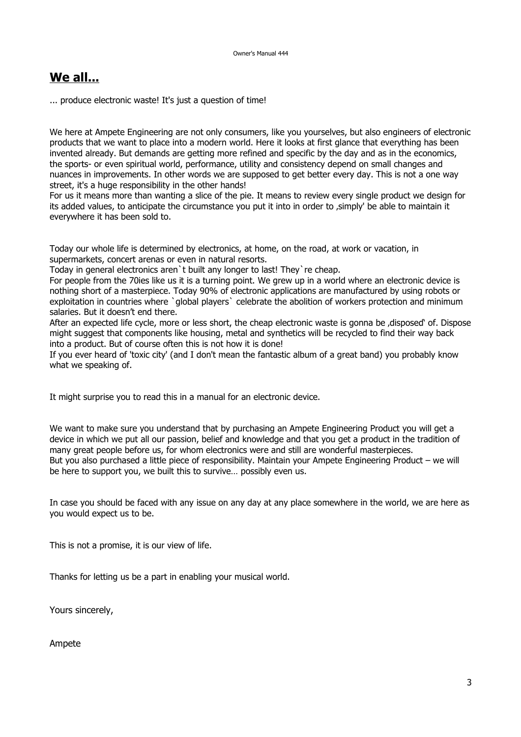# **We all...**

... produce electronic waste! It's just a question of time!

We here at Ampete Engineering are not only consumers, like you yourselves, but also engineers of electronic products that we want to place into a modern world. Here it looks at first glance that everything has been invented already. But demands are getting more refined and specific by the day and as in the economics, the sports- or even spiritual world, performance, utility and consistency depend on small changes and nuances in improvements. In other words we are supposed to get better every day. This is not a one way street, it's a huge responsibility in the other hands!

For us it means more than wanting a slice of the pie. It means to review every single product we design for its added values, to anticipate the circumstance you put it into in order to , simply' be able to maintain it everywhere it has been sold to.

Today our whole life is determined by electronics, at home, on the road, at work or vacation, in supermarkets, concert arenas or even in natural resorts.

Today in general electronics aren`t built any longer to last! They`re cheap.

For people from the 70ies like us it is a turning point. We grew up in a world where an electronic device is nothing short of a masterpiece. Today 90% of electronic applications are manufactured by using robots or exploitation in countries where `global players` celebrate the abolition of workers protection and minimum salaries. But it doesn't end there.

After an expected life cycle, more or less short, the cheap electronic waste is gonna be , disposed' of. Dispose might suggest that components like housing, metal and synthetics will be recycled to find their way back into a product. But of course often this is not how it is done!

If you ever heard of 'toxic city' (and I don't mean the fantastic album of a great band) you probably know what we speaking of.

It might surprise you to read this in a manual for an electronic device.

We want to make sure you understand that by purchasing an Ampete Engineering Product you will get a device in which we put all our passion, belief and knowledge and that you get a product in the tradition of many great people before us, for whom electronics were and still are wonderful masterpieces. But you also purchased a little piece of responsibility. Maintain your Ampete Engineering Product – we will be here to support you, we built this to survive… possibly even us.

In case you should be faced with any issue on any day at any place somewhere in the world, we are here as you would expect us to be.

This is not a promise, it is our view of life.

Thanks for letting us be a part in enabling your musical world.

Yours sincerely,

Ampete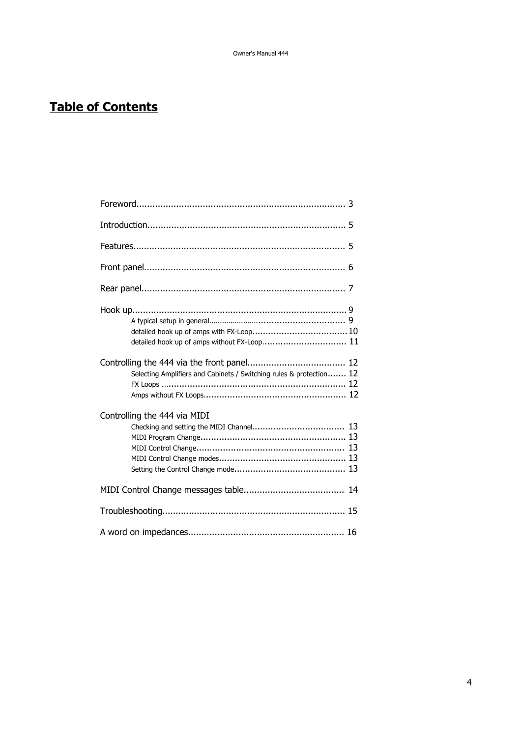# **Table of Contents**

| Selecting Amplifiers and Cabinets / Switching rules & protection 12 |  |
|---------------------------------------------------------------------|--|
| Controlling the 444 via MIDI                                        |  |
|                                                                     |  |
|                                                                     |  |
|                                                                     |  |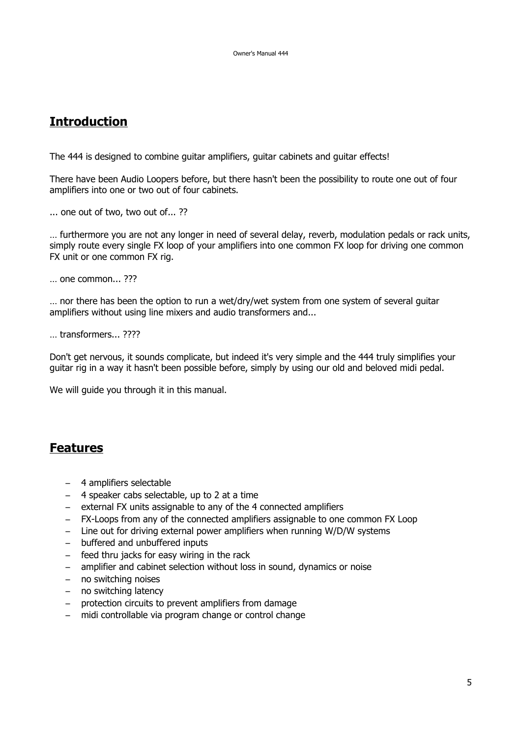## **Introduction**

The 444 is designed to combine guitar amplifiers, guitar cabinets and guitar effects!

There have been Audio Loopers before, but there hasn't been the possibility to route one out of four amplifiers into one or two out of four cabinets.

... one out of two, two out of... ??

… furthermore you are not any longer in need of several delay, reverb, modulation pedals or rack units, simply route every single FX loop of your amplifiers into one common FX loop for driving one common FX unit or one common FX rig.

… one common... ???

… nor there has been the option to run a wet/dry/wet system from one system of several guitar amplifiers without using line mixers and audio transformers and...

… transformers... ????

Don't get nervous, it sounds complicate, but indeed it's very simple and the 444 truly simplifies your guitar rig in a way it hasn't been possible before, simply by using our old and beloved midi pedal.

We will guide you through it in this manual.

## **Features**

- 4 amplifiers selectable
- 4 speaker cabs selectable, up to 2 at a time
- external FX units assignable to any of the 4 connected amplifiers
- FX-Loops from any of the connected amplifiers assignable to one common FX Loop
- Line out for driving external power amplifiers when running W/D/W systems
- buffered and unbuffered inputs
- feed thru jacks for easy wiring in the rack
- amplifier and cabinet selection without loss in sound, dynamics or noise
- no switching noises
- no switching latency
- protection circuits to prevent amplifiers from damage
- midi controllable via program change or control change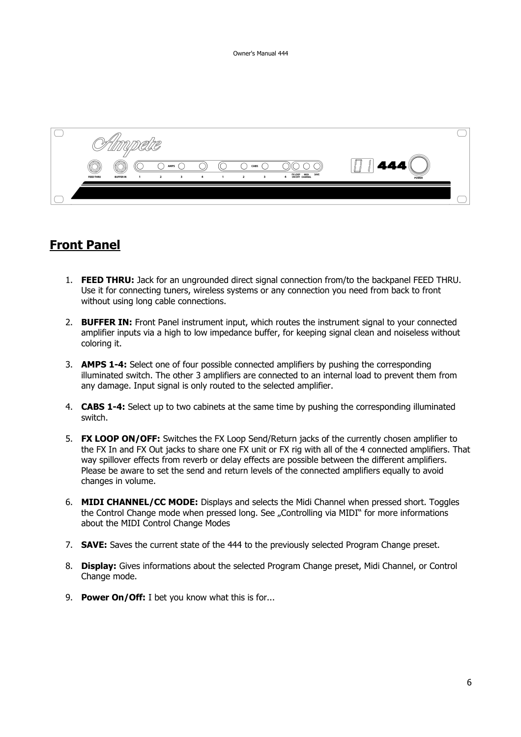

## **Front Panel**

- 1. **FEED THRU:** Jack for an ungrounded direct signal connection from/to the backpanel FEED THRU. Use it for connecting tuners, wireless systems or any connection you need from back to front without using long cable connections.
- 2. **BUFFER IN:** Front Panel instrument input, which routes the instrument signal to your connected amplifier inputs via a high to low impedance buffer, for keeping signal clean and noiseless without coloring it.
- 3. **AMPS 1-4:** Select one of four possible connected amplifiers by pushing the corresponding illuminated switch. The other 3 amplifiers are connected to an internal load to prevent them from any damage. Input signal is only routed to the selected amplifier.
- 4. **CABS 1-4:** Select up to two cabinets at the same time by pushing the corresponding illuminated switch.
- 5. **FX LOOP ON/OFF:** Switches the FX Loop Send/Return jacks of the currently chosen amplifier to the FX In and FX Out jacks to share one FX unit or FX rig with all of the 4 connected amplifiers. That way spillover effects from reverb or delay effects are possible between the different amplifiers. Please be aware to set the send and return levels of the connected amplifiers equally to avoid changes in volume.
- 6. **MIDI CHANNEL/CC MODE:** Displays and selects the Midi Channel when pressed short. Toggles the Control Change mode when pressed long. See ..Controlling via MIDI" for more informations about the MIDI Control Change Modes
- 7. **SAVE:** Saves the current state of the 444 to the previously selected Program Change preset.
- 8. **Display:** Gives informations about the selected Program Change preset, Midi Channel, or Control Change mode.
- 9. **Power On/Off:** I bet you know what this is for...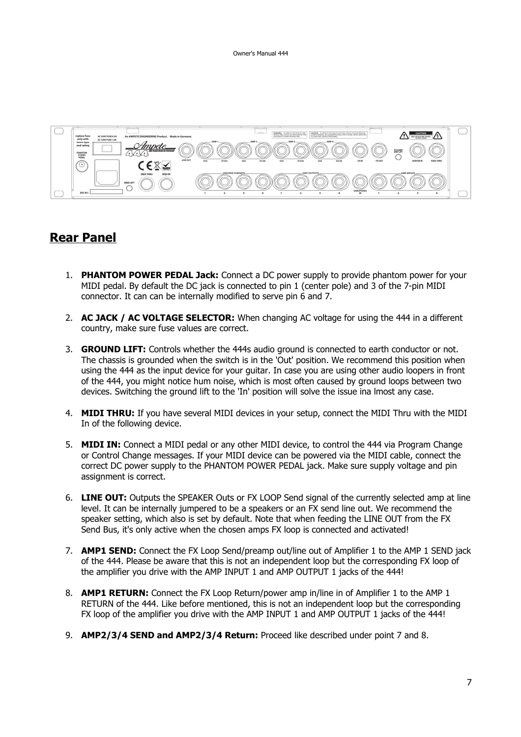

## **Rear Panel**

- 1. **PHANTOM POWER PEDAL Jack:** Connect a DC power supply to provide phantom power for your MIDI pedal. By default the DC jack is connected to pin 1 (center pole) and 3 of the 7-pin MIDI connector. It can can be internally modified to serve pin 6 and 7.
- 2. **AC JACK / AC VOLTAGE SELECTOR:** When changing AC voltage for using the 444 in a different country, make sure fuse values are correct.
- 3. **GROUND LIFT:** Controls whether the 444s audio ground is connected to earth conductor or not. The chassis is grounded when the switch is in the 'Out' position. We recommend this position when using the 444 as the input device for your guitar. In case you are using other audio loopers in front of the 444, you might notice hum noise, which is most often caused by ground loops between two devices. Switching the ground lift to the 'In' position will solve the issue ina lmost any case.
- 4. **MIDI THRU:** If you have several MIDI devices in your setup, connect the MIDI Thru with the MIDI In of the following device.
- 5. **MIDI IN:** Connect a MIDI pedal or any other MIDI device, to control the 444 via Program Change or Control Change messages. If your MIDI device can be powered via the MIDI cable, connect the correct DC power supply to the PHANTOM POWER PEDAL jack. Make sure supply voltage and pin assignment is correct.
- 6. **LINE OUT:** Outputs the SPEAKER Outs or FX LOOP Send signal of the currently selected amp at line level. It can be internally jumpered to be a speakers or an FX send line out. We recommend the speaker setting, which also is set by default. Note that when feeding the LINE OUT from the FX Send Bus, it's only active when the chosen amps FX loop is connected and activated!
- 7. **AMP1 SEND:** Connect the FX Loop Send/preamp out/line out of Amplifier 1 to the AMP 1 SEND jack of the 444. Please be aware that this is not an independent loop but the corresponding FX loop of the amplifier you drive with the AMP INPUT 1 and AMP OUTPUT 1 jacks of the 444!
- 8. **AMP1 RETURN:** Connect the FX Loop Return/power amp in/line in of Amplifier 1 to the AMP 1 RETURN of the 444. Like before mentioned, this is not an independent loop but the corresponding FX loop of the amplifier you drive with the AMP INPUT 1 and AMP OUTPUT 1 jacks of the 444!
- 9. **AMP2/3/4 SEND and AMP2/3/4 Return:** Proceed like described under point 7 and 8.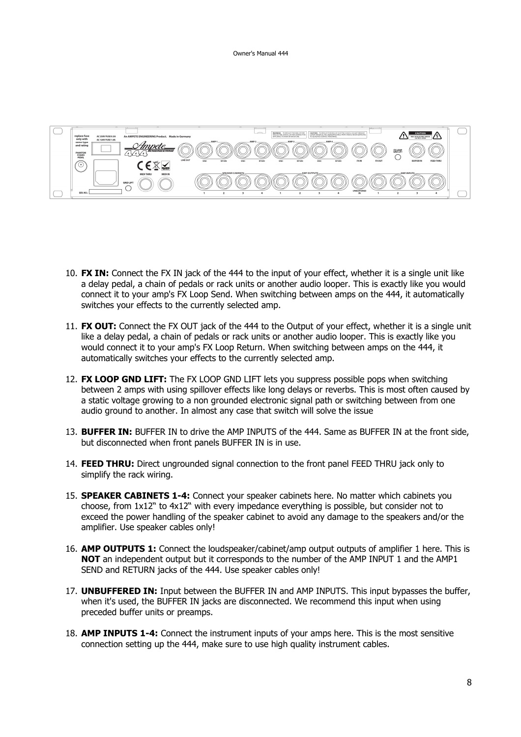

- 10. **FX IN:** Connect the FX IN jack of the 444 to the input of your effect, whether it is a single unit like a delay pedal, a chain of pedals or rack units or another audio looper. This is exactly like you would connect it to your amp's FX Loop Send. When switching between amps on the 444, it automatically switches your effects to the currently selected amp.
- 11. **FX OUT:** Connect the FX OUT jack of the 444 to the Output of your effect, whether it is a single unit like a delay pedal, a chain of pedals or rack units or another audio looper. This is exactly like you would connect it to your amp's FX Loop Return. When switching between amps on the 444, it automatically switches your effects to the currently selected amp.
- 12. **FX LOOP GND LIFT:** The FX LOOP GND LIFT lets you suppress possible pops when switching between 2 amps with using spillover effects like long delays or reverbs. This is most often caused by a static voltage growing to a non grounded electronic signal path or switching between from one audio ground to another. In almost any case that switch will solve the issue
- 13. **BUFFER IN:** BUFFER IN to drive the AMP INPUTS of the 444. Same as BUFFER IN at the front side, but disconnected when front panels BUFFER IN is in use.
- 14. **FEED THRU:** Direct ungrounded signal connection to the front panel FEED THRU jack only to simplify the rack wiring.
- 15. **SPEAKER CABINETS 1-4:** Connect your speaker cabinets here. No matter which cabinets you choose, from 1x12" to 4x12" with every impedance everything is possible, but consider not to exceed the power handling of the speaker cabinet to avoid any damage to the speakers and/or the amplifier. Use speaker cables only!
- 16. **AMP OUTPUTS 1:** Connect the loudspeaker/cabinet/amp output outputs of amplifier 1 here. This is **NOT** an independent output but it corresponds to the number of the AMP INPUT 1 and the AMP1 SEND and RETURN jacks of the 444. Use speaker cables only!
- 17. **UNBUFFERED IN:** Input between the BUFFER IN and AMP INPUTS. This input bypasses the buffer, when it's used, the BUFFER IN jacks are disconnected. We recommend this input when using preceded buffer units or preamps.
- 18. **AMP INPUTS 1-4:** Connect the instrument inputs of your amps here. This is the most sensitive connection setting up the 444, make sure to use high quality instrument cables.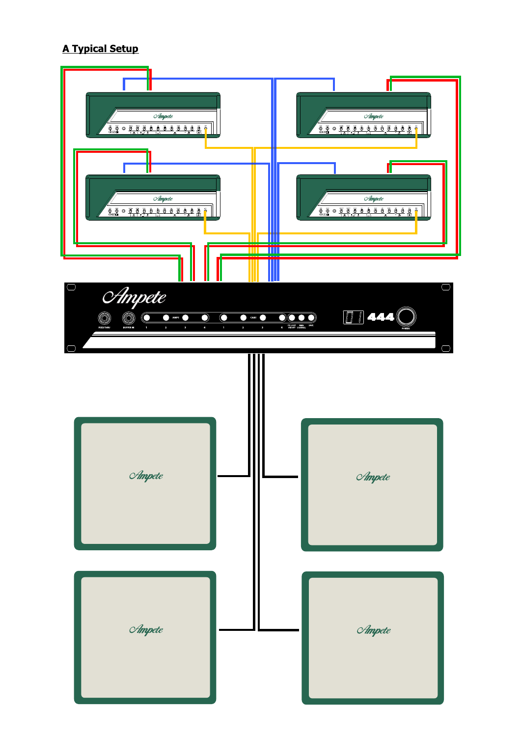### **A Typical Setup**

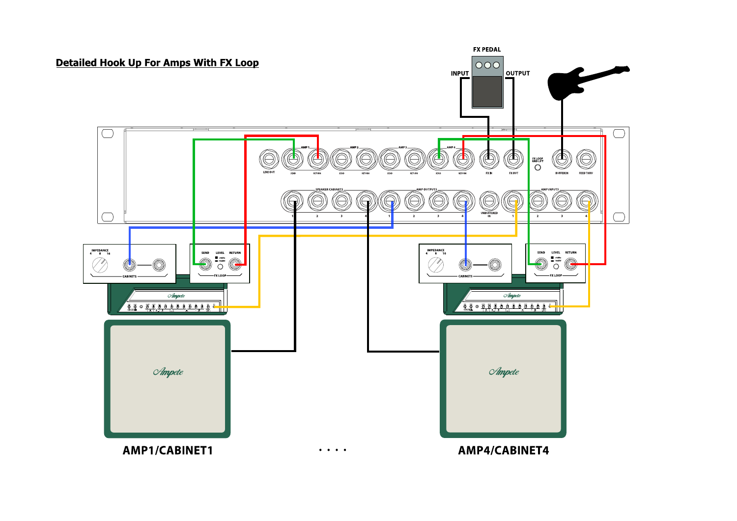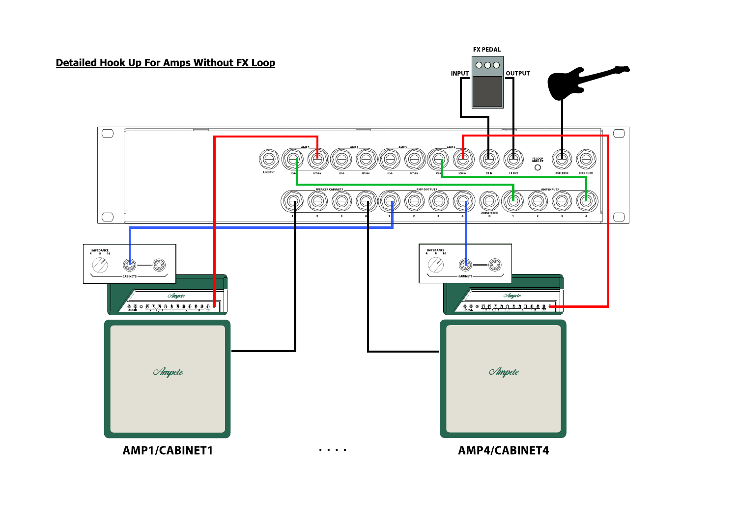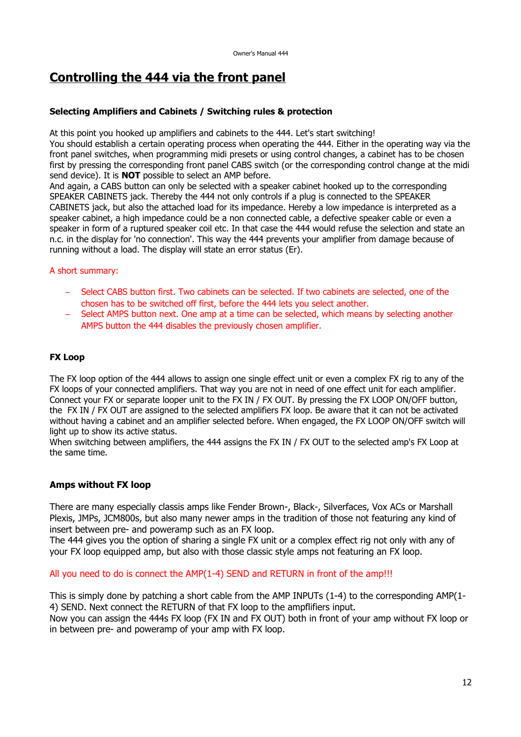# **Controlling the 444 via the front panel**

#### **Selecting Amplifiers and Cabinets / Switching rules & protection**

At this point you hooked up amplifiers and cabinets to the 444. Let's start switching!

You should establish a certain operating process when operating the 444. Either in the operating way via the front panel switches, when programming midi presets or using control changes, a cabinet has to be chosen first by pressing the corresponding front panel CABS switch (or the corresponding control change at the midi send device). It is **NOT** possible to select an AMP before.

And again, a CABS button can only be selected with a speaker cabinet hooked up to the corresponding SPEAKER CABINETS jack. Thereby the 444 not only controls if a plug is connected to the SPEAKER CABINETS jack, but also the attached load for its impedance. Hereby a low impedance is interpreted as a speaker cabinet, a high impedance could be a non connected cable, a defective speaker cable or even a speaker in form of a ruptured speaker coil etc. In that case the 444 would refuse the selection and state an n.c. in the display for 'no connection'. This way the 444 prevents your amplifier from damage because of running without a load. The display will state an error status (Er).

#### A short summary:

- Select CABS button first. Two cabinets can be selected. If two cabinets are selected, one of the chosen has to be switched off first, before the 444 lets you select another.
- Select AMPS button next. One amp at a time can be selected, which means by selecting another AMPS button the 444 disables the previously chosen amplifier.

#### **FX Loop**

The FX loop option of the 444 allows to assign one single effect unit or even a complex FX rig to any of the FX loops of your connected amplifiers. That way you are not in need of one effect unit for each amplifier. Connect your FX or separate looper unit to the FX IN / FX OUT. By pressing the FX LOOP ON/OFF button, the FX IN / FX OUT are assigned to the selected amplifiers FX loop. Be aware that it can not be activated without having a cabinet and an amplifier selected before. When engaged, the FX LOOP ON/OFF switch will light up to show its active status.

When switching between amplifiers, the 444 assigns the FX IN / FX OUT to the selected amp's FX Loop at the same time.

#### **Amps without FX loop**

There are many especially classis amps like Fender Brown-, Black-, Silverfaces, Vox ACs or Marshall Plexis, JMPs, JCM800s, but also many newer amps in the tradition of those not featuring any kind of insert between pre- and poweramp such as an FX loop.

The 444 gives you the option of sharing a single FX unit or a complex effect rig not only with any of your FX loop equipped amp, but also with those classic style amps not featuring an FX loop.

All you need to do is connect the AMP(1-4) SEND and RETURN in front of the amp!!!

This is simply done by patching a short cable from the AMP INPUTs (1-4) to the corresponding AMP(1- 4) SEND. Next connect the RETURN of that FX loop to the ampflifiers input.

Now you can assign the 444s FX loop (FX IN and FX OUT) both in front of your amp without FX loop or in between pre- and poweramp of your amp with FX loop.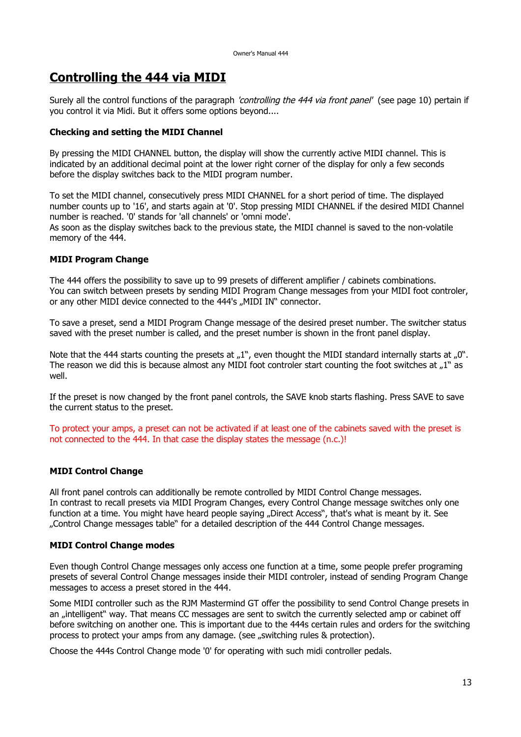# **Controlling the 444 via MIDI**

Surely all the control functions of the paragraph *'controlling the 444 via front panel'* (see page 10) pertain if you control it via Midi. But it offers some options beyond....

#### **Checking and setting the MIDI Channel**

By pressing the MIDI CHANNEL button, the display will show the currently active MIDI channel. This is indicated by an additional decimal point at the lower right corner of the display for only a few seconds before the display switches back to the MIDI program number.

To set the MIDI channel, consecutively press MIDI CHANNEL for a short period of time. The displayed number counts up to '16', and starts again at '0'. Stop pressing MIDI CHANNEL if the desired MIDI Channel number is reached. '0' stands for 'all channels' or 'omni mode'.

As soon as the display switches back to the previous state, the MIDI channel is saved to the non-volatile memory of the 444.

#### **MIDI Program Change**

The 444 offers the possibility to save up to 99 presets of different amplifier / cabinets combinations. You can switch between presets by sending MIDI Program Change messages from your MIDI foot controler, or any other MIDI device connected to the 444's "MIDI IN" connector.

To save a preset, send a MIDI Program Change message of the desired preset number. The switcher status saved with the preset number is called, and the preset number is shown in the front panel display.

Note that the 444 starts counting the presets at  $n^1$ , even thought the MIDI standard internally starts at  $n^0$ . The reason we did this is because almost any MIDI foot controler start counting the foot switches at "1" as well.

If the preset is now changed by the front panel controls, the SAVE knob starts flashing. Press SAVE to save the current status to the preset.

To protect your amps, a preset can not be activated if at least one of the cabinets saved with the preset is not connected to the 444. In that case the display states the message (n.c.)!

#### **MIDI Control Change**

All front panel controls can additionally be remote controlled by MIDI Control Change messages. In contrast to recall presets via MIDI Program Changes, every Control Change message switches only one function at a time. You might have heard people saying "Direct Access", that's what is meant by it. See "Control Change messages table" for a detailed description of the 444 Control Change messages.

#### **MIDI Control Change modes**

Even though Control Change messages only access one function at a time, some people prefer programing presets of several Control Change messages inside their MIDI controler, instead of sending Program Change messages to access a preset stored in the 444.

Some MIDI controller such as the RJM Mastermind GT offer the possibility to send Control Change presets in an "intelligent" way. That means CC messages are sent to switch the currently selected amp or cabinet off before switching on another one. This is important due to the 444s certain rules and orders for the switching process to protect your amps from any damage. (see "switching rules & protection).

Choose the 444s Control Change mode '0' for operating with such midi controller pedals.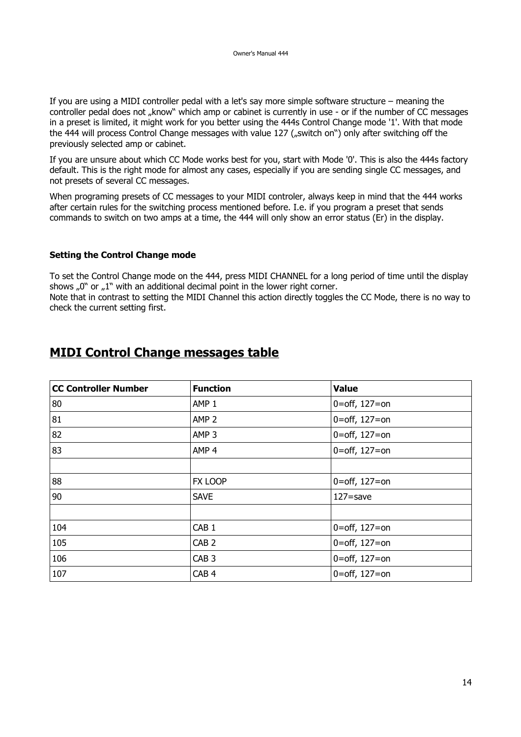If you are using a MIDI controller pedal with a let's say more simple software structure – meaning the controller pedal does not "know" which amp or cabinet is currently in use - or if the number of CC messages in a preset is limited, it might work for you better using the 444s Control Change mode '1'. With that mode the 444 will process Control Change messages with value 127 ("switch on") only after switching off the previously selected amp or cabinet.

If you are unsure about which CC Mode works best for you, start with Mode '0'. This is also the 444s factory default. This is the right mode for almost any cases, especially if you are sending single CC messages, and not presets of several CC messages.

When programing presets of CC messages to your MIDI controler, always keep in mind that the 444 works after certain rules for the switching process mentioned before. I.e. if you program a preset that sends commands to switch on two amps at a time, the 444 will only show an error status (Er) in the display.

#### **Setting the Control Change mode**

check the current setting first.

To set the Control Change mode on the 444, press MIDI CHANNEL for a long period of time until the display shows  $.0$ " or  $.1$ " with an additional decimal point in the lower right corner. Note that in contrast to setting the MIDI Channel this action directly toggles the CC Mode, there is no way to

# **MIDI Control Change messages table**

| <b>CC Controller Number</b> | <b>Function</b>  | <b>Value</b>      |  |
|-----------------------------|------------------|-------------------|--|
| 80                          | AMP <sub>1</sub> | 0=off, $127 =$ on |  |
| 81                          | AMP <sub>2</sub> | 0=off, $127 =$ on |  |
| 82                          | AMP <sub>3</sub> | 0=off, $127 =$ on |  |
| 83                          | AMP <sub>4</sub> | 0=off, $127 =$ on |  |
|                             |                  |                   |  |
| 88                          | FX LOOP          | 0=off, $127 =$ on |  |
| 90                          | <b>SAVE</b>      | $127 =$ save      |  |
|                             |                  |                   |  |
| 104                         | CAB <sub>1</sub> | 0=off, $127 =$ on |  |
| 105                         | CAB <sub>2</sub> | 0=off, $127 =$ on |  |
| 106                         | CAB <sub>3</sub> | 0=off, $127 =$ on |  |
| 107                         | CAB <sub>4</sub> | 0=off, $127 =$ on |  |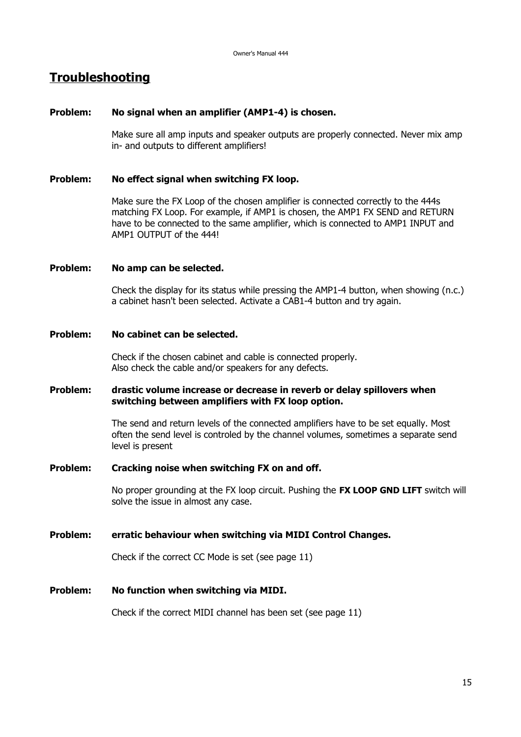# **Troubleshooting**

#### **Problem: No signal when an amplifier (AMP1-4) is chosen.**

Make sure all amp inputs and speaker outputs are properly connected. Never mix amp in- and outputs to different amplifiers!

#### **Problem: No effect signal when switching FX loop.**

Make sure the FX Loop of the chosen amplifier is connected correctly to the 444s matching FX Loop. For example, if AMP1 is chosen, the AMP1 FX SEND and RETURN have to be connected to the same amplifier, which is connected to AMP1 INPUT and AMP1 OUTPUT of the 444!

#### **Problem: No amp can be selected.**

Check the display for its status while pressing the AMP1-4 button, when showing (n.c.) a cabinet hasn't been selected. Activate a CAB1-4 button and try again.

#### **Problem: No cabinet can be selected.**

Check if the chosen cabinet and cable is connected properly. Also check the cable and/or speakers for any defects.

#### **Problem: drastic volume increase or decrease in reverb or delay spillovers when switching between amplifiers with FX loop option.**

The send and return levels of the connected amplifiers have to be set equally. Most often the send level is controled by the channel volumes, sometimes a separate send level is present

#### **Problem: Cracking noise when switching FX on and off.**

No proper grounding at the FX loop circuit. Pushing the **FX LOOP GND LIFT** switch will solve the issue in almost any case.

**Problem: erratic behaviour when switching via MIDI Control Changes.**

Check if the correct CC Mode is set (see page 11)

#### **Problem: No function when switching via MIDI.**

Check if the correct MIDI channel has been set (see page 11)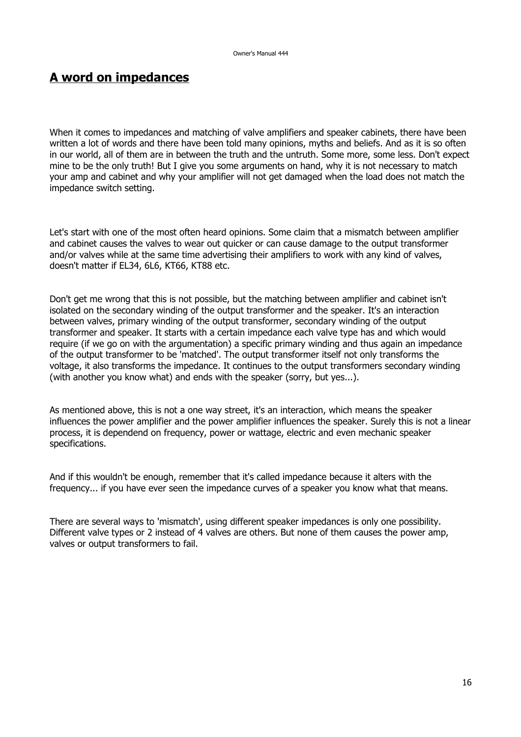# **A word on impedances**

When it comes to impedances and matching of valve amplifiers and speaker cabinets, there have been written a lot of words and there have been told many opinions, myths and beliefs. And as it is so often in our world, all of them are in between the truth and the untruth. Some more, some less. Don't expect mine to be the only truth! But I give you some arguments on hand, why it is not necessary to match your amp and cabinet and why your amplifier will not get damaged when the load does not match the impedance switch setting.

Let's start with one of the most often heard opinions. Some claim that a mismatch between amplifier and cabinet causes the valves to wear out quicker or can cause damage to the output transformer and/or valves while at the same time advertising their amplifiers to work with any kind of valves, doesn't matter if EL34, 6L6, KT66, KT88 etc.

Don't get me wrong that this is not possible, but the matching between amplifier and cabinet isn't isolated on the secondary winding of the output transformer and the speaker. It's an interaction between valves, primary winding of the output transformer, secondary winding of the output transformer and speaker. It starts with a certain impedance each valve type has and which would require (if we go on with the argumentation) a specific primary winding and thus again an impedance of the output transformer to be 'matched'. The output transformer itself not only transforms the voltage, it also transforms the impedance. It continues to the output transformers secondary winding (with another you know what) and ends with the speaker (sorry, but yes...).

As mentioned above, this is not a one way street, it's an interaction, which means the speaker influences the power amplifier and the power amplifier influences the speaker. Surely this is not a linear process, it is dependend on frequency, power or wattage, electric and even mechanic speaker specifications.

And if this wouldn't be enough, remember that it's called impedance because it alters with the frequency... if you have ever seen the impedance curves of a speaker you know what that means.

There are several ways to 'mismatch', using different speaker impedances is only one possibility. Different valve types or 2 instead of 4 valves are others. But none of them causes the power amp, valves or output transformers to fail.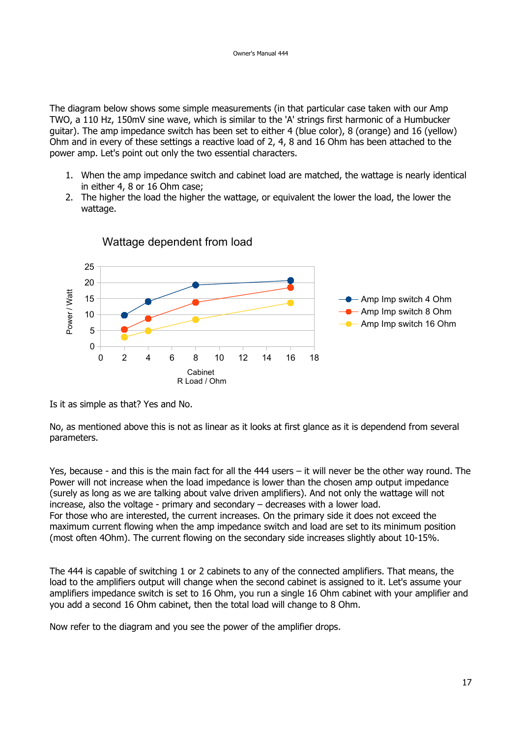The diagram below shows some simple measurements (in that particular case taken with our Amp TWO, a 110 Hz, 150mV sine wave, which is similar to the 'A' strings first harmonic of a Humbucker guitar). The amp impedance switch has been set to either 4 (blue color), 8 (orange) and 16 (yellow) Ohm and in every of these settings a reactive load of 2, 4, 8 and 16 Ohm has been attached to the power amp. Let's point out only the two essential characters.

- 1. When the amp impedance switch and cabinet load are matched, the wattage is nearly identical in either 4, 8 or 16 Ohm case;
- 2. The higher the load the higher the wattage, or equivalent the lower the load, the lower the wattage.



Wattage dependent from load

Is it as simple as that? Yes and No.

No, as mentioned above this is not as linear as it looks at first glance as it is dependend from several parameters.

Yes, because - and this is the main fact for all the 444 users – it will never be the other way round. The Power will not increase when the load impedance is lower than the chosen amp output impedance (surely as long as we are talking about valve driven amplifiers). And not only the wattage will not increase, also the voltage - primary and secondary – decreases with a lower load. For those who are interested, the current increases. On the primary side it does not exceed the maximum current flowing when the amp impedance switch and load are set to its minimum position (most often 4Ohm). The current flowing on the secondary side increases slightly about 10-15%.

The 444 is capable of switching 1 or 2 cabinets to any of the connected amplifiers. That means, the load to the amplifiers output will change when the second cabinet is assigned to it. Let's assume your amplifiers impedance switch is set to 16 Ohm, you run a single 16 Ohm cabinet with your amplifier and you add a second 16 Ohm cabinet, then the total load will change to 8 Ohm.

Now refer to the diagram and you see the power of the amplifier drops.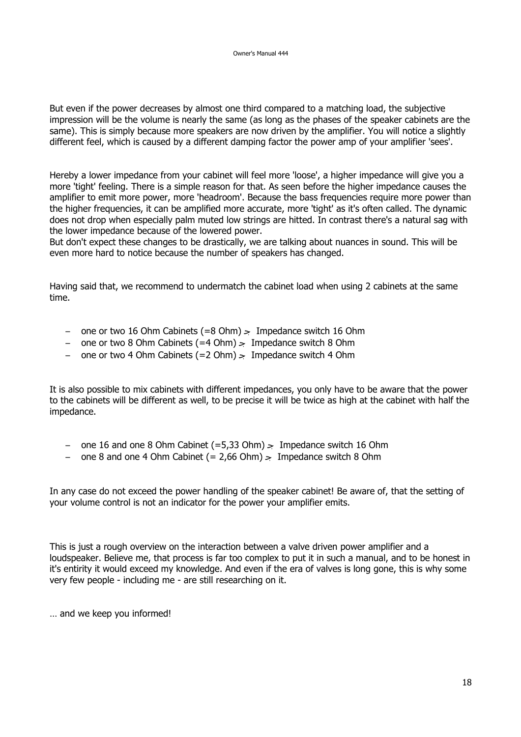But even if the power decreases by almost one third compared to a matching load, the subjective impression will be the volume is nearly the same (as long as the phases of the speaker cabinets are the same). This is simply because more speakers are now driven by the amplifier. You will notice a slightly different feel, which is caused by a different damping factor the power amp of your amplifier 'sees'.

Hereby a lower impedance from your cabinet will feel more 'loose', a higher impedance will give you a more 'tight' feeling. There is a simple reason for that. As seen before the higher impedance causes the amplifier to emit more power, more 'headroom'. Because the bass frequencies require more power than the higher frequencies, it can be amplified more accurate, more 'tight' as it's often called. The dynamic does not drop when especially palm muted low strings are hitted. In contrast there's a natural sag with the lower impedance because of the lowered power.

But don't expect these changes to be drastically, we are talking about nuances in sound. This will be even more hard to notice because the number of speakers has changed.

Having said that, we recommend to undermatch the cabinet load when using 2 cabinets at the same time.

- one or two 16 Ohm Cabinets (=8 Ohm) → Impedance switch 16 Ohm
- one or two 8 Ohm Cabinets (=4 Ohm) → Impedance switch 8 Ohm
- one or two 4 Ohm Cabinets (=2 Ohm) → Impedance switch 4 Ohm

It is also possible to mix cabinets with different impedances, you only have to be aware that the power to the cabinets will be different as well, to be precise it will be twice as high at the cabinet with half the impedance.

- one 16 and one 8 Ohm Cabinet (=5,33 Ohm) → Impedance switch 16 Ohm
- one 8 and one 4 Ohm Cabinet  $(= 2.66$  Ohm $)$   $>$  Impedance switch 8 Ohm

In any case do not exceed the power handling of the speaker cabinet! Be aware of, that the setting of your volume control is not an indicator for the power your amplifier emits.

This is just a rough overview on the interaction between a valve driven power amplifier and a loudspeaker. Believe me, that process is far too complex to put it in such a manual, and to be honest in it's entirity it would exceed my knowledge. And even if the era of valves is long gone, this is why some very few people - including me - are still researching on it.

… and we keep you informed!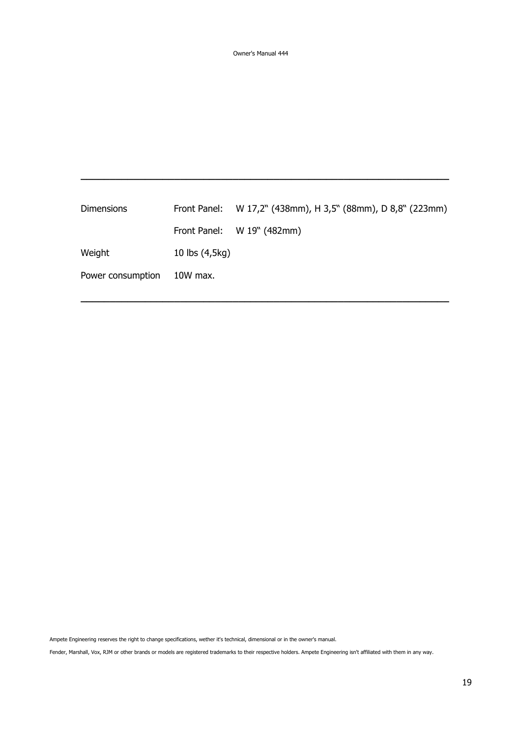| <b>Dimensions</b> |                | Front Panel: W 17,2" (438mm), H 3,5" (88mm), D 8,8" (223mm) |
|-------------------|----------------|-------------------------------------------------------------|
|                   |                | Front Panel: W 19" (482mm)                                  |
| Weight            | 10 lbs (4,5kg) |                                                             |
| Power consumption | 10W max.       |                                                             |
|                   |                |                                                             |

**\_\_\_\_\_\_\_\_\_\_\_\_\_\_\_\_\_\_\_\_\_\_\_\_\_\_\_\_\_\_\_\_\_\_\_\_\_\_\_\_\_\_\_\_\_\_\_\_\_\_\_\_\_\_\_\_\_\_\_\_\_\_\_**

**\_\_\_\_\_\_\_\_\_\_\_\_\_\_\_\_\_\_\_\_\_\_\_\_\_\_\_\_\_\_\_\_\_\_\_\_\_\_\_\_\_\_\_\_\_\_\_\_\_\_\_\_\_\_\_\_\_\_\_\_\_\_\_**

Ampete Engineering reserves the right to change specifications, wether it's technical, dimensional or in the owner's manual.

Fender, Marshall, Vox, RJM or other brands or models are registered trademarks to their respective holders. Ampete Engineering isn't affiliated with them in any way.